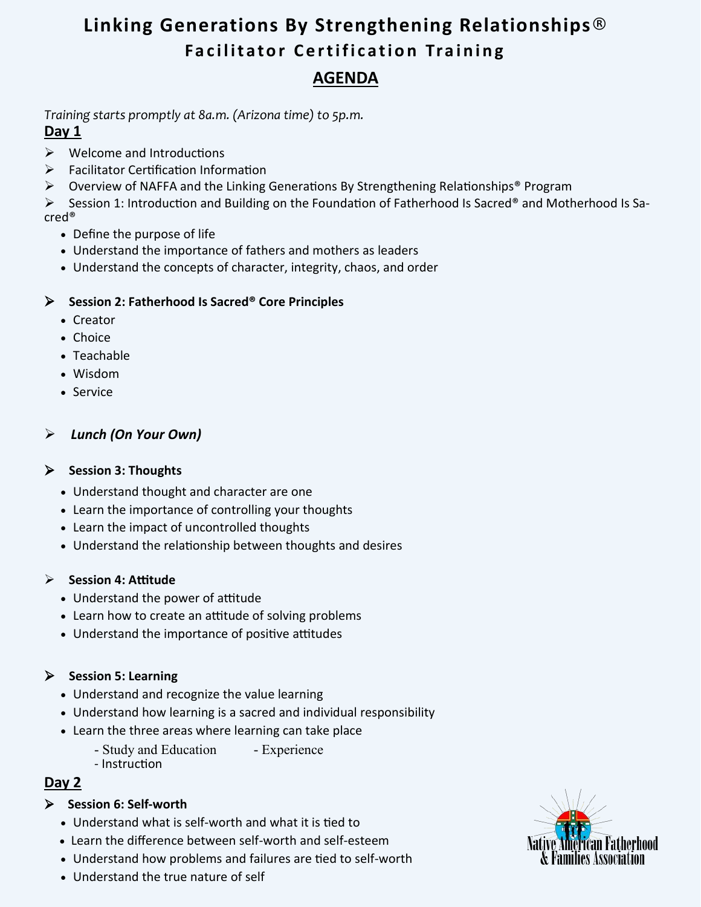# **Linking Generations By Strengthening Relationships® Facilitator Certification Training AGENDA**

*Training starts promptly at 8a.m. (Arizona time) to 5p.m.*

# **Day 1**

- ➢ Welcome and Introductions
- ➢ Facilitator Certification Information
- ➢ Overview of NAFFA and the Linking Generations By Strengthening Relationships® Program

➢ Session 1: Introduction and Building on the Foundation of Fatherhood Is Sacred® and Motherhood Is Sacred®

- Define the purpose of life
- Understand the importance of fathers and mothers as leaders
- Understand the concepts of character, integrity, chaos, and order

## ➢ **Session 2: Fatherhood Is Sacred® Core Principles**

- Creator
- Choice
- Teachable
- Wisdom
- Service

## ➢ *Lunch (On Your Own)*

### ➢ **Session 3: Thoughts**

- Understand thought and character are one
- Learn the importance of controlling your thoughts
- Learn the impact of uncontrolled thoughts
- Understand the relationship between thoughts and desires

### ➢ **Session 4: Attitude**

- Understand the power of attitude
- Learn how to create an attitude of solving problems
- Understand the importance of positive attitudes

## ➢ **Session 5: Learning**

- Understand and recognize the value learning
- Understand how learning is a sacred and individual responsibility
- Learn the three areas where learning can take place
	- Study and Education Experience
	- Instruction

# **Day 2**

## ➢ **Session 6: Self-worth**

- Understand what is self-worth and what it is tied to
- Learn the difference between self-worth and self-esteem
- Understand how problems and failures are tied to self-worth